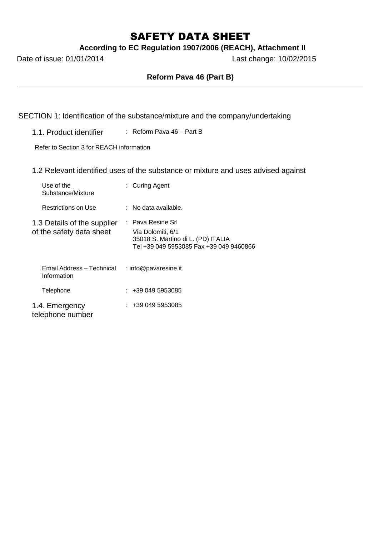# SAFETY DATA SHEET

**According to EC Regulation 1907/2006 (REACH), Attachment II**

Date of issue: 01/01/2014 Last change: 10/02/2015

# **Reform Pava 46 (Part B)**

SECTION 1: Identification of the substance/mixture and the company/undertaking

1.1. Product identifier : Reform Pava 46 – Part B

Refer to Section 3 for REACH information

1.2 Relevant identified uses of the substance or mixture and uses advised against

| Use of the<br>Substance/Mixture                         | : Curing Agent                                                                                                          |
|---------------------------------------------------------|-------------------------------------------------------------------------------------------------------------------------|
| Restrictions on Use                                     | $:$ No data available.                                                                                                  |
| 1.3 Details of the supplier<br>of the safety data sheet | : Pava Resine Srl<br>Via Dolomiti, 6/1<br>35018 S. Martino di L. (PD) ITALIA<br>Tel +39 049 5953085 Fax +39 049 9460866 |
| Email Address - Technical<br>Information                | : info@pavaresine.it                                                                                                    |
| Telephone                                               | $: +390495953085$                                                                                                       |
| 1.4. Emergency<br>telephone number                      | $: +390495953085$                                                                                                       |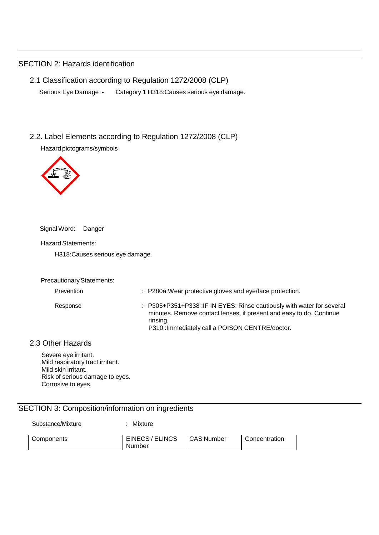# SECTION 2: Hazards identification

- 2.1 Classification according to Regulation 1272/2008 (CLP) Serious Eye Damage - Category 1 H318:Causes serious eye damage.
- 2.2. Label Elements according to Regulation 1272/2008 (CLP)

Hazard pictograms/symbols



Signal Word: Danger

Hazard Statements:

H318:Causes serious eye damage.

#### Precautionary Statements:

| Prevention | : P280a: Wear protective gloves and eye/face protection.                                                                                                                                                    |
|------------|-------------------------------------------------------------------------------------------------------------------------------------------------------------------------------------------------------------|
| Response   | : P305+P351+P338 : IF IN EYES: Rinse cautiously with water for several<br>minutes. Remove contact lenses, if present and easy to do. Continue<br>rinsing.<br>P310: Immediately call a POISON CENTRE/doctor. |

## 2.3 Other Hazards

Severe eye irritant. Mild respiratory tract irritant. Mild skin irritant. Risk of serious damage to eyes. Corrosive to eyes.

# SECTION 3: Composition/information on ingredients

Substance/Mixture : Mixture

| Components | EINECS/ELINCS | CAS Number | Concentration |
|------------|---------------|------------|---------------|
|            | Number        |            |               |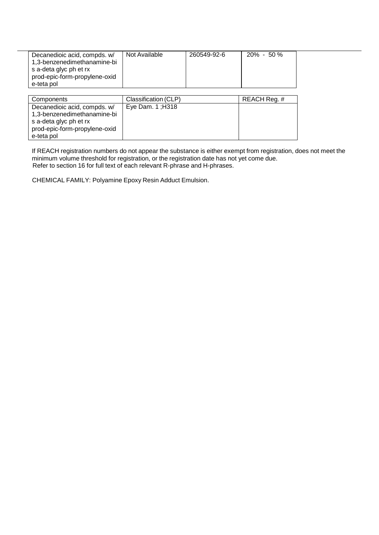| Decanedioic acid, compds. w/<br>1,3-benzenedimethanamine-bi<br>s a-deta glyc ph et rx<br>prod-epic-form-propylene-oxid<br>e-teta pol | Not Available        | 260549-92-6 | $20\% - 50\%$ |  |
|--------------------------------------------------------------------------------------------------------------------------------------|----------------------|-------------|---------------|--|
| Components                                                                                                                           | Classification (CLP) |             | REACH Reg. #  |  |
|                                                                                                                                      |                      |             |               |  |

| <b>UUITIUUITUITI</b>          | UIQOOIIIUQUUI I ULI | $11L$ $N$ $11R$ $V$ $V$ $I$ $I$ $R$ |
|-------------------------------|---------------------|-------------------------------------|
| Decanedioic acid, compds. w/  | Eye Dam. $1$ ; H318 |                                     |
| 1,3-benzenedimethanamine-bi   |                     |                                     |
| s a-deta glyc ph et rx        |                     |                                     |
| prod-epic-form-propylene-oxid |                     |                                     |
| e-teta pol                    |                     |                                     |

If REACH registration numbers do not appear the substance is either exempt from registration, does not meet the minimum volume threshold for registration, or the registration date has not yet come due. Refer to section 16 for full text of each relevant R-phrase and H-phrases.

CHEMICAL FAMILY: Polyamine Epoxy Resin Adduct Emulsion.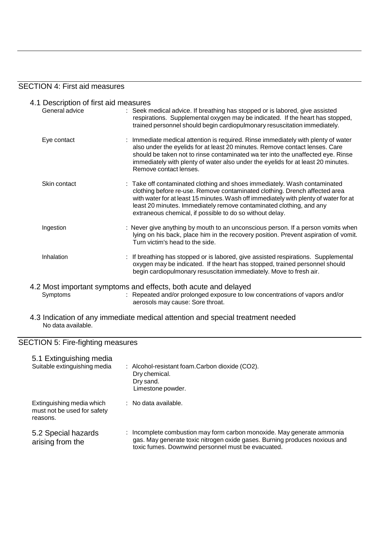### SECTION 4: First aid measures

- 4.1 Description of first aid measures<br>General advice : Seek n : Seek medical advice. If breathing has stopped or is labored, give assisted respirations. Supplemental oxygen may be indicated. If the heart has stopped, trained personnel should begin cardiopulmonary resuscitation immediately. Eye contact : Immediate medical attention is required. Rinse immediately with plenty of water also under the eyelids for at least 20 minutes. Remove contact lenses. Care
	- should be taken not to rinse contaminated wa ter into the unaffected eye. Rinse immediately with plenty of water also under the eyelids for at least 20 minutes. Remove contact lenses. Skin contact **in the Contaminated containing and shoes immediately.** Wash contaminated clothing before re-use. Remove contaminated clothing. Drench affected area with water for at least 15 minutes. Wash off immediately with plenty of water for at least 20 minutes. Immediately remove contaminated clothing, and any extraneous chemical, if possible to do so without delay. Ingestion : Never give anything by mouth to an unconscious person. If a person vomits when lying on his back, place him in the recovery position. Prevent aspiration of vomit. Turn victim's head to the side.
	- Inhalation : If breathing has stopped or is labored, give assisted respirations. Supplemental oxygen may be indicated. If the heart has stopped, trained personnel should begin cardiopulmonary resuscitation immediately. Move to fresh air.
- 4.2 Most important symptoms and effects, both acute and delayed Symptoms : Repeated and/or prolonged exposure to low concentrations of vapors and/or aerosols may cause: Sore throat.
- 4.3 Indication of any immediate medical attention and special treatment needed No data available.

### SECTION 5: Fire-fighting measures

| 5.1 Extinguishing media<br>Suitable extinguishing media              | : Alcohol-resistant foam.Carbon dioxide (CO2).<br>Dry chemical.<br>Dry sand.<br>Limestone powder.                                                                                                        |
|----------------------------------------------------------------------|----------------------------------------------------------------------------------------------------------------------------------------------------------------------------------------------------------|
| Extinguishing media which<br>must not be used for safety<br>reasons. | $:$ No data available.                                                                                                                                                                                   |
| 5.2 Special hazards<br>arising from the                              | Incomplete combustion may form carbon monoxide. May generate ammonia<br>gas. May generate toxic nitrogen oxide gases. Burning produces noxious and<br>toxic fumes. Downwind personnel must be evacuated. |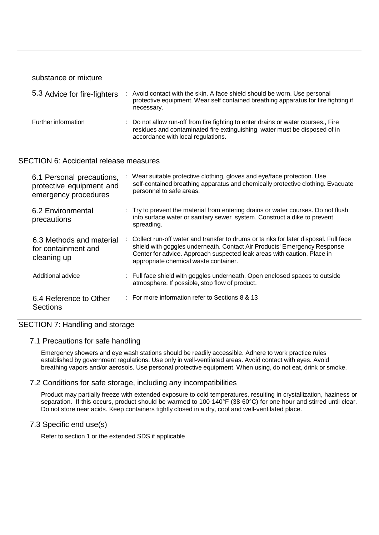substance or mixture

| 5.3 Advice for fire-fighters | Avoid contact with the skin. A face shield should be worn. Use personal<br>protective equipment. Wear self contained breathing apparatus for fire fighting if<br>necessary.                          |
|------------------------------|------------------------------------------------------------------------------------------------------------------------------------------------------------------------------------------------------|
| Further information          | : Do not allow run-off from fire fighting to enter drains or water courses., Fire<br>residues and contaminated fire extinguishing water must be disposed of in<br>accordance with local regulations. |

## SECTION 6: Accidental release measures

| 6.1 Personal precautions,<br>protective equipment and<br>emergency procedures | Wear suitable protective clothing, gloves and eye/face protection. Use<br>self-contained breathing apparatus and chemically protective clothing. Evacuate<br>personnel to safe areas.                                                                                                 |
|-------------------------------------------------------------------------------|---------------------------------------------------------------------------------------------------------------------------------------------------------------------------------------------------------------------------------------------------------------------------------------|
| 6.2 Environmental<br>precautions                                              | : Try to prevent the material from entering drains or water courses. Do not flush<br>into surface water or sanitary sewer system. Construct a dike to prevent<br>spreading.                                                                                                           |
| 6.3 Methods and material<br>for containment and<br>cleaning up                | : Collect run-off water and transfer to drums or ta nks for later disposal. Full face<br>shield with goggles underneath. Contact Air Products' Emergency Response<br>Center for advice. Approach suspected leak areas with caution. Place in<br>appropriate chemical waste container. |
| Additional advice                                                             | : Full face shield with goggles underneath. Open enclosed spaces to outside<br>atmosphere. If possible, stop flow of product.                                                                                                                                                         |
| 6.4 Reference to Other<br>Sections                                            | $\therefore$ For more information refer to Sections 8 & 13                                                                                                                                                                                                                            |

# SECTION 7: Handling and storage

#### 7.1 Precautions for safe handling

Emergency showers and eye wash stations should be readily accessible. Adhere to work practice rules established by government regulations. Use only in well-ventilated areas. Avoid contact with eyes. Avoid breathing vapors and/or aerosols. Use personal protective equipment. When using, do not eat, drink or smoke.

### 7.2 Conditions for safe storage, including any incompatibilities

Product may partially freeze with extended exposure to cold temperatures, resulting in crystallization, haziness or separation. If this occurs, product should be warmed to 100-140°F (38-60°C) for one hour and stirred until clear. Do not store near acids. Keep containers tightly closed in a dry, cool and well-ventilated place.

### 7.3 Specific end use(s)

Refer to section 1 or the extended SDS if applicable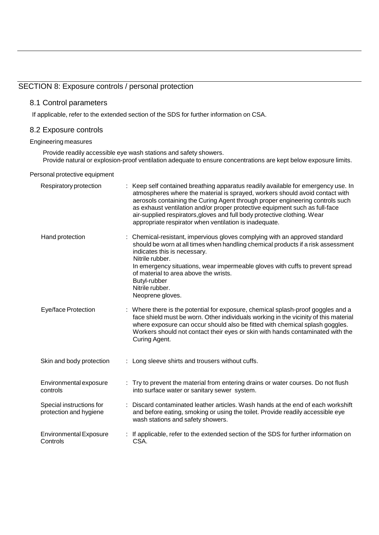# SECTION 8: Exposure controls / personal protection

### 8.1 Control parameters

If applicable, refer to the extended section of the SDS for further information on CSA.

#### 8.2 Exposure controls

#### Engineering measures

Provide readily accessible eye wash stations and safety showers. Provide natural or explosion-proof ventilation adequate to ensure concentrations are kept below exposure limits.

#### Personal protective equipment

| Respiratory protection                             | Keep self contained breathing apparatus readily available for emergency use. In<br>atmospheres where the material is sprayed, workers should avoid contact with<br>aerosols containing the Curing Agent through proper engineering controls such<br>as exhaust ventilation and/or proper protective equipment such as full-face<br>air-supplied respirators, gloves and full body protective clothing. Wear<br>appropriate respirator when ventilation is inadequate. |
|----------------------------------------------------|-----------------------------------------------------------------------------------------------------------------------------------------------------------------------------------------------------------------------------------------------------------------------------------------------------------------------------------------------------------------------------------------------------------------------------------------------------------------------|
| Hand protection                                    | : Chemical-resistant, impervious gloves complying with an approved standard<br>should be worn at all times when handling chemical products if a risk assessment<br>indicates this is necessary.<br>Nitrile rubber.<br>In emergency situations, wear impermeable gloves with cuffs to prevent spread                                                                                                                                                                   |
|                                                    | of material to area above the wrists.<br>Butyl-rubber<br>Nitrile rubber.<br>Neoprene gloves.                                                                                                                                                                                                                                                                                                                                                                          |
| Eye/face Protection                                | : Where there is the potential for exposure, chemical splash-proof goggles and a<br>face shield must be worn. Other individuals working in the vicinity of this material<br>where exposure can occur should also be fitted with chemical splash goggles.<br>Workers should not contact their eyes or skin with hands contaminated with the<br>Curing Agent.                                                                                                           |
| Skin and body protection                           | : Long sleeve shirts and trousers without cuffs.                                                                                                                                                                                                                                                                                                                                                                                                                      |
| Environmental exposure<br>controls                 | : Try to prevent the material from entering drains or water courses. Do not flush<br>into surface water or sanitary sewer system.                                                                                                                                                                                                                                                                                                                                     |
| Special instructions for<br>protection and hygiene | : Discard contaminated leather articles. Wash hands at the end of each workshift<br>and before eating, smoking or using the toilet. Provide readily accessible eye<br>wash stations and safety showers.                                                                                                                                                                                                                                                               |
| <b>Environmental Exposure</b><br>Controls          | If applicable, refer to the extended section of the SDS for further information on<br>CSA.                                                                                                                                                                                                                                                                                                                                                                            |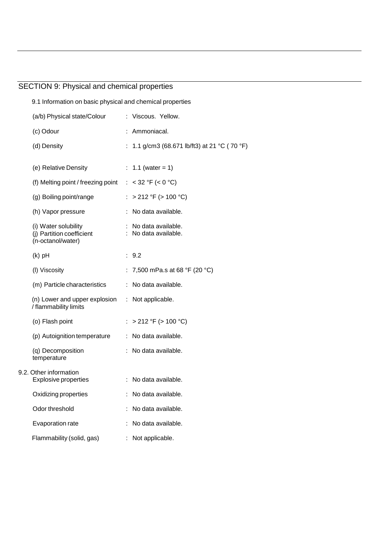# SECTION 9: Physical and chemical properties

| 9.1 Information on basic physical and chemical properties                        |                                              |
|----------------------------------------------------------------------------------|----------------------------------------------|
| (a/b) Physical state/Colour                                                      | : Viscous. Yellow.                           |
| (c) Odour                                                                        | : Ammoniacal.                                |
| (d) Density                                                                      | : 1.1 g/cm3 (68.671 lb/ft3) at 21 °C (70 °F) |
| (e) Relative Density                                                             | : 1.1 (water = 1)                            |
| (f) Melting point / freezing point $: < 32 \text{ }^{\circ}F$ (< 0 $^{\circ}C$ ) |                                              |
| (g) Boiling point/range                                                          | : > 212 °F (> 100 °C)                        |
| (h) Vapor pressure                                                               | : No data available.                         |
| (i) Water solubility<br>(j) Partition coefficient<br>(n-octanol/water)           | : No data available.<br>: No data available. |
| $(k)$ pH                                                                         | : 9.2                                        |
| (I) Viscosity                                                                    | : 7,500 mPa.s at 68 °F (20 °C)               |
| (m) Particle characteristics                                                     | : No data available.                         |
| (n) Lower and upper explosion : Not applicable.<br>/ flammability limits         |                                              |
| (o) Flash point                                                                  | : > 212 °F (> 100 °C)                        |
| (p) Autoignition temperature                                                     | : No data available.                         |
| (q) Decomposition<br>temperature                                                 | : No data available.                         |
| 9.2. Other information<br><b>Explosive properties</b>                            | : No data available.                         |
| Oxidizing properties                                                             | No data available.                           |
| Odor threshold                                                                   | No data available.                           |
| Evaporation rate                                                                 | No data available.                           |
| Flammability (solid, gas)                                                        | Not applicable.                              |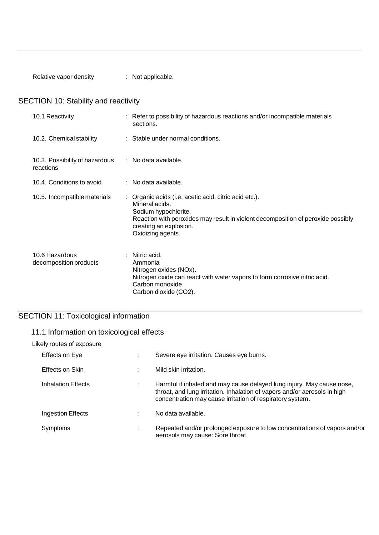Relative vapor density : Not applicable.

SECTION 10: Stability and reactivity

| 10.1 Reactivity                             | : Refer to possibility of hazardous reactions and/or incompatible materials<br>sections.                                                                                                                                           |
|---------------------------------------------|------------------------------------------------------------------------------------------------------------------------------------------------------------------------------------------------------------------------------------|
| 10.2. Chemical stability                    | : Stable under normal conditions.                                                                                                                                                                                                  |
| 10.3. Possibility of hazardous<br>reactions | : No data available.                                                                                                                                                                                                               |
| 10.4. Conditions to avoid                   | $:$ No data available.                                                                                                                                                                                                             |
| 10.5. Incompatible materials                | : Organic acids (i.e. acetic acid, citric acid etc.).<br>Mineral acids.<br>Sodium hypochlorite.<br>Reaction with peroxides may result in violent decomposition of peroxide possibly<br>creating an explosion.<br>Oxidizing agents. |
| 10.6 Hazardous<br>decomposition products    | : Nitric acid.<br>Ammonia<br>Nitrogen oxides (NOx).<br>Nitrogen oxide can react with water vapors to form corrosive nitric acid.<br>Carbon monoxide.<br>Carbon dioxide (CO2).                                                      |

# SECTION 11: Toxicological information

# 11.1 Information on toxicological effects

## Likely routes of exposure

| Effects on Eye     | Severe eye irritation. Causes eye burns.                                                                                                                                                                        |
|--------------------|-----------------------------------------------------------------------------------------------------------------------------------------------------------------------------------------------------------------|
| Effects on Skin    | Mild skin irritation.                                                                                                                                                                                           |
| Inhalation Effects | Harmful if inhaled and may cause delayed lung injury. May cause nose,<br>throat, and lung irritation. Inhalation of vapors and/or aerosols in high<br>concentration may cause irritation of respiratory system. |
| Ingestion Effects  | No data available.                                                                                                                                                                                              |
| Symptoms           | Repeated and/or prolonged exposure to low concentrations of vapors and/or<br>aerosols may cause: Sore throat.                                                                                                   |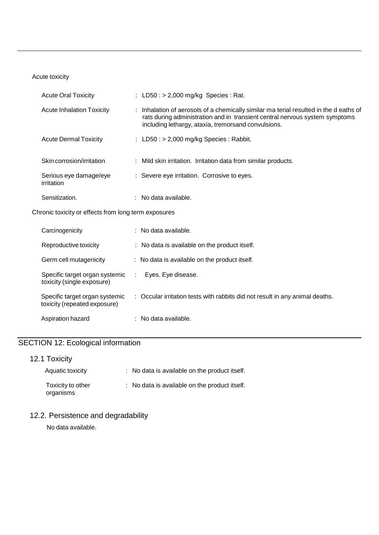## Acute toxicity

| <b>Acute Oral Toxicity</b>           | : $LD50: > 2,000$ mg/kg Species : Rat.                                                                                                                                                                                      |
|--------------------------------------|-----------------------------------------------------------------------------------------------------------------------------------------------------------------------------------------------------------------------------|
| Acute Inhalation Toxicity            | : Inhalation of aerosols of a chemically similar ma terial resulted in the d eaths of<br>rats during administration and in transient central nervous system symptoms<br>including lethargy, ataxia, tremorsand convulsions. |
| <b>Acute Dermal Toxicity</b>         | : $LD50: > 2,000$ mg/kg Species : Rabbit.                                                                                                                                                                                   |
| Skin corrosion/irritation            | : Mild skin irritation. Irritation data from similar products.                                                                                                                                                              |
| Serious eye damage/eye<br>irritation | : Severe eye irritation. Corrosive to eyes.                                                                                                                                                                                 |
| Sensitization.                       | No data available.                                                                                                                                                                                                          |

Chronic toxicity or effects from long term exposures

| Carcinogenicity                                                | $:$ No data available.                                                       |
|----------------------------------------------------------------|------------------------------------------------------------------------------|
| Reproductive toxicity                                          | : No data is available on the product itself.                                |
| Germ cell mutagenicity                                         | $\therefore$ No data is available on the product itself.                     |
| Specific target organ systemic<br>toxicity (single exposure)   | Eyes. Eye disease.<br>$\sim 100$                                             |
| Specific target organ systemic<br>toxicity (repeated exposure) | : Occular irritation tests with rabbits did not result in any animal deaths. |
| Aspiration hazard                                              | $:$ No data available.                                                       |

# SECTION 12: Ecological information

# 12.1 Toxicity

| Aquatic toxicity               | : No data is available on the product itself. |
|--------------------------------|-----------------------------------------------|
| Toxicity to other<br>organisms | : No data is available on the product itself. |

# 12.2. Persistence and degradability

No data available.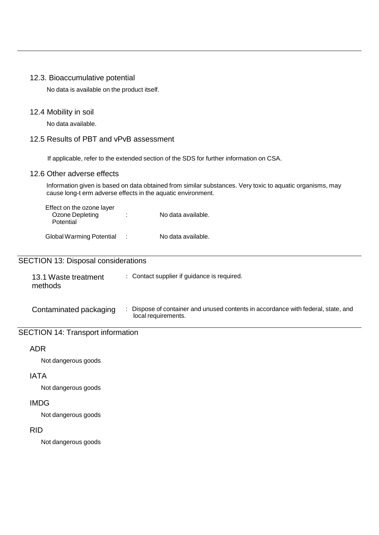#### 12.3. Bioaccumulative potential

No data is available on the product itself.

#### 12.4 Mobility in soil

No data available.

# 12.5 Results of PBT and vPvB assessment

If applicable, refer to the extended section of the SDS for further information on CSA.

#### 12.6 Other adverse effects

Information given is based on data obtained from similar substances. Very toxic to aquatic organisms, may cause long-t erm adverse effects in the aquatic environment.

| Effect on the ozone layer<br>Ozone Depleting<br>Potential | ÷ | No data available. |
|-----------------------------------------------------------|---|--------------------|
| <b>Global Warming Potential</b>                           | ٠ | No data available. |

## SECTION 13: Disposal considerations

| 13.1 Waste treatment | : Contact supplier if guidance is required. |
|----------------------|---------------------------------------------|
| methods              |                                             |

Contaminated packaging : Dispose of container and unused contents in accordance with federal, state, and local requirements.

# SECTION 14: Transport information

## ADR

Not dangerous goods

## IATA

Not dangerous goods

### IMDG

Not dangerous goods

## RID

Not dangerous goods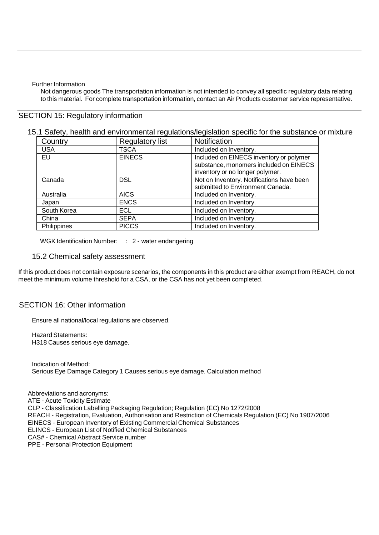Further Information

Not dangerous goods The transportation information is not intended to convey all specific regulatory data relating to this material. For complete transportation information, contact an Air Products customer service representative.

### SECTION 15: Regulatory information

### 15.1 Safety, health and environmental regulations/legislation specific for the substance or mixture

| Country     | <b>Regulatory list</b> | Notification                                                                                                         |
|-------------|------------------------|----------------------------------------------------------------------------------------------------------------------|
| <b>USA</b>  | <b>TSCA</b>            | Included on Inventory.                                                                                               |
| EU          | <b>EINECS</b>          | Included on EINECS inventory or polymer<br>substance, monomers included on EINECS<br>inventory or no longer polymer. |
| Canada      | <b>DSL</b>             | Not on Inventory. Notifications have been<br>submitted to Environment Canada.                                        |
| Australia   | <b>AICS</b>            | Included on Inventory.                                                                                               |
| Japan       | <b>ENCS</b>            | Included on Inventory.                                                                                               |
| South Korea | ECL                    | Included on Inventory.                                                                                               |
| China       | <b>SEPA</b>            | Included on Inventory.                                                                                               |
| Philippines | <b>PICCS</b>           | Included on Inventory.                                                                                               |

WGK Identification Number: : 2 - water endangering

#### 15.2 Chemical safety assessment

If this product does not contain exposure scenarios, the components in this product are either exempt from REACH, do not meet the minimum volume threshold for a CSA, or the CSA has not yet been completed.

### SECTION 16: Other information

Ensure all national/local regulations are observed.

Hazard Statements: H318 Causes serious eye damage.

Indication of Method: Serious Eye Damage Category 1 Causes serious eye damage. Calculation method

Abbreviations and acronyms: ATE - Acute Toxicity Estimate CLP - Classification Labelling Packaging Regulation; Regulation (EC) No 1272/2008 REACH - Registration, Evaluation, Authorisation and Restriction of Chemicals Regulation (EC) No 1907/2006 EINECS - European Inventory of Existing Commercial Chemical Substances ELINCS - European List of Notified Chemical Substances CAS# - Chemical Abstract Service number PPE - Personal Protection Equipment